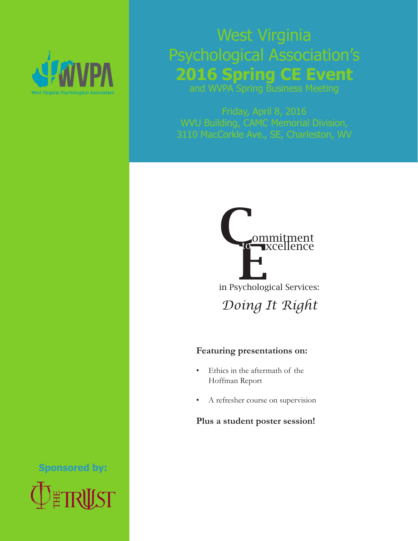

# West Virginia Psychological Association's **2016 Spring CE Event**

and WVPA Spring Business Meeting

Friday, April 8, 2016 WVU Building, CAMC Memorial Division, 3110 MacCorkle Ave., SE, Charleston, WV



### **Featuring presentations on:**

- Ethics in the aftermath of the Hoffman Report
- A refresher course on supervision

### **Plus a student poster session!**

**Sponsored by:**

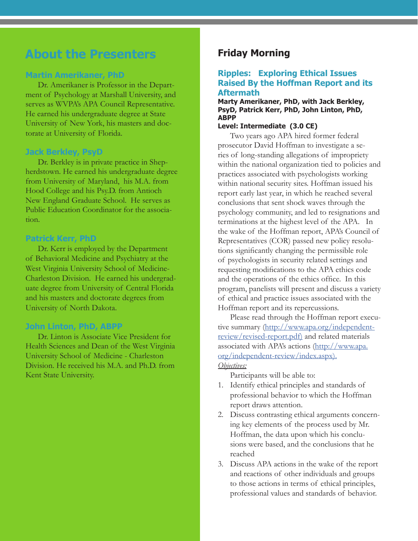# **About the Presenters**

### **Martin Amerikaner, PhD**

Dr. Amerikaner is Professor in the Department of Psychology at Marshall University, and serves as WVPA's APA Council Representative. He earned his undergraduate degree at State University of New York, his masters and doctorate at University of Florida.

### **Jack Berkley, PsyD**

Dr. Berkley is in private practice in Shepherdstown. He earned his undergraduate degree from University of Maryland, his M.A. from Hood College and his Psy.D. from Antioch New England Graduate School. He serves as Public Education Coordinator for the association.

### **Patrick Kerr, PhD**

Dr. Kerr is employed by the Department of Behavioral Medicine and Psychiatry at the West Virginia University School of Medicine-Charleston Division. He earned his undergraduate degree from University of Central Florida and his masters and doctorate degrees from University of North Dakota.

### **John Linton, PhD, ABPP**

Dr. Linton is Associate Vice President for Health Sciences and Dean of the West Virginia University School of Medicine - Charleston Division. He received his M.A. and Ph.D. from Kent State University.

## **Friday Morning**

### **Ripples: Exploring Ethical Issues Raised By the Hoffman Report and its Aftermath**

**Marty Amerikaner, PhD, with Jack Berkley, PsyD, Patrick Kerr, PhD, John Linton, PhD, ABPP**

### **Level: Intermediate (3.0 CE)**

Two years ago APA hired former federal prosecutor David Hoffman to investigate a series of long-standing allegations of impropriety within the national organization tied to policies and practices associated with psychologists working within national security sites. Hoffman issued his report early last year, in which he reached several conclusions that sent shock waves through the psychology community, and led to resignations and terminations at the highest level of the APA. In the wake of the Hoffman report, APA's Council of Representatives (COR) passed new policy resolutions significantly changing the permissible role of psychologists in security related settings and requesting modifications to the APA ethics code and the operations of the ethics office. In this program, panelists will present and discuss a variety of ethical and practice issues associated with the Hoffman report and its repercussions.

Please read through the Hoffman report executive summary [\(http://www.apa.org/independent](http://www.apa.org/independent-review/revised-report.pdf)[review/revised-report.pdf\)](http://www.apa.org/independent-review/revised-report.pdf) and related materials associated with APA's actions [\(http://www.apa.](http://www.apa.org/independent-review/index.aspx) [org/independent-review/index.aspx\)](http://www.apa.org/independent-review/index.aspx).

### *Objectives:*

Participants will be able to:

- 1. Identify ethical principles and standards of professional behavior to which the Hoffman report draws attention.
- 2. Discuss contrasting ethical arguments concerning key elements of the process used by Mr. Hoffman, the data upon which his conclusions were based, and the conclusions that he reached
- 3. Discuss APA actions in the wake of the report and reactions of other individuals and groups to those actions in terms of ethical principles, professional values and standards of behavior.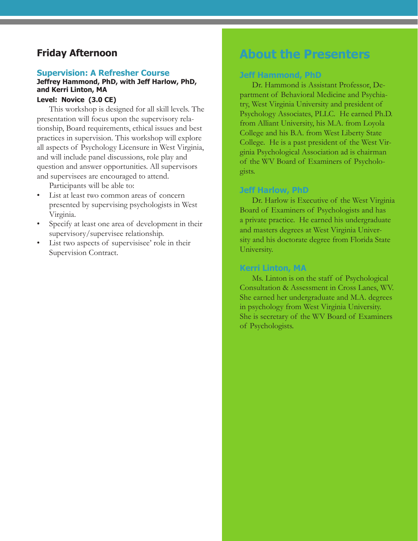### **Friday Afternoon**

#### **Supervision: A Refresher Course**

#### **Jeffrey Hammond, PhD, with Jeff Harlow, PhD, and Kerri Linton, MA Level: Novice (3.0 CE)**

This workshop is designed for all skill levels. The presentation will focus upon the supervisory relationship, Board requirements, ethical issues and best practices in supervision. This workshop will explore all aspects of Psychology Licensure in West Virginia, and will include panel discussions, role play and question and answer opportunities. All supervisors and supervisees are encouraged to attend.

Participants will be able to:

- List at least two common areas of concern presented by supervising psychologists in West Virginia.
- Specify at least one area of development in their supervisory/supervisee relationship.
- List two aspects of supervisisee' role in their Supervision Contract.

# **About the Presenters**

### **Jeff Hammond, PhD**

Dr. Hammond is Assistant Professor, Department of Behavioral Medicine and Psychiatry, West Virginia University and president of Psychology Associates, PLLC. He earned Ph.D. from Alliant University, his M.A. from Loyola College and his B.A. from West Liberty State College. He is a past president of the West Virginia Psychological Association ad is chairman of the WV Board of Examiners of Psychologists.

#### **Jeff Harlow, PhD**

Dr. Harlow is Executive of the West Virginia Board of Examiners of Psychologists and has a private practice. He earned his undergraduate and masters degrees at West Virginia University and his doctorate degree from Florida State University.

#### **Kerri Linton, MA**

Ms. Linton is on the staff of Psychological Consultation & Assessment in Cross Lanes, WV. She earned her undergraduate and M.A. degrees in psychology from West Virginia University. She is secretary of the WV Board of Examiners of Psychologists.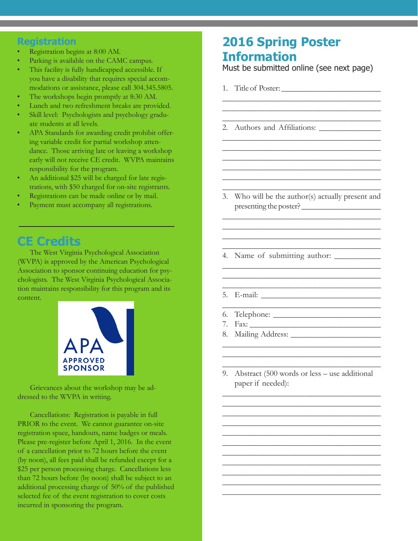### **Registration**

- Registration begins at 8:00 AM.
- Parking is available on the CAMC campus.
- This facility is fully handicapped accessible. If you have a disability that requires special accommodations or assistance, please call 304.345.5805.
- The workshops begin promptly at 8:30 AM.
- Lunch and two refreshment breaks are provided.
- Skill level: Psychologists and psychology graduate students at all levels.
- APA Standards for awarding credit prohibit offering variable credit for partial workshop attendance. Those arriving late or leaving a workshop early will not receive CE credit. WVPA maintains responsibility for the program.
- An additional \$25 will be charged for late registrations, with \$50 charged for on-site registrants.
- Registrations can be made online or by mail.
- Payment must accompany all registrations.

# **CE Credits**

The West Virginia Psychological Association (WVPA) is approved by the American Psychological Association to sponsor continuing education for psychologists. The West Virginia Psychological Association maintains responsibility for this program and its content.



Grievances about the workshop may be addressed to the WVPA in writing.

Cancellations: Registration is payable in full PRIOR to the event. We cannot guarantee on-site registration space, handouts, name badges or meals. Please pre-register before April 1, 2016. In the event of a cancellation prior to 72 hours before the event (by noon), all fees paid shall be refunded except for a \$25 per person processing charge. Cancellations less than 72 hours before (by noon) shall be subject to an additional processing charge of 50% of the published selected fee of the event registration to cover costs incurred in sponsoring the program.

# **2016 Spring Poster Information**

Must be submitted online (see next page)

\_\_\_\_\_\_\_\_\_\_\_\_\_\_\_\_\_\_\_\_\_\_\_\_\_\_\_\_\_\_\_\_\_\_\_\_\_\_ \_\_\_\_\_\_\_\_\_\_\_\_\_\_\_\_\_\_\_\_\_\_\_\_\_\_\_\_\_\_\_\_\_\_\_\_\_ \_\_\_\_\_\_\_\_\_\_\_\_\_\_\_\_\_\_\_\_\_\_\_\_\_\_\_\_\_\_\_\_\_\_\_\_\_\_\_

\_\_\_\_\_\_\_\_\_\_\_\_\_\_\_\_\_\_\_\_\_\_\_\_\_\_\_\_\_\_\_\_\_\_\_\_\_\_\_ \_\_\_\_\_\_\_\_\_\_\_\_\_\_\_\_\_\_\_\_\_\_\_\_\_\_\_\_\_\_\_\_\_\_\_\_\_\_\_ \_\_\_\_\_\_\_\_\_\_\_\_\_\_\_\_\_\_\_\_\_\_\_\_\_\_\_\_\_\_\_\_\_\_\_\_\_\_\_ \_\_\_\_\_\_\_\_\_\_\_\_\_\_\_\_\_\_\_\_\_\_\_\_\_\_\_\_\_\_\_\_\_\_\_\_\_\_\_ \_\_\_\_\_\_\_\_\_\_\_\_\_\_\_\_\_\_\_\_\_\_\_\_\_\_\_\_\_\_\_\_\_\_\_\_\_\_\_ \_\_\_\_\_\_\_\_\_\_\_\_\_\_\_\_\_\_\_\_\_\_\_\_\_\_\_\_\_\_\_\_\_\_\_\_\_\_

- 1. Title of Poster: \_\_\_\_\_\_\_\_\_\_\_\_\_\_\_\_\_\_\_\_\_\_\_\_\_
- 2. Authors and Affiliations: \_\_\_\_\_\_\_\_\_\_\_\_\_\_\_

3. Who will be the author(s) actually present and presenting the poster? \_\_\_\_\_\_\_\_\_\_\_\_\_\_\_\_\_\_\_\_

\_\_\_\_\_\_\_\_\_\_\_\_\_\_\_\_\_\_\_\_\_\_\_\_\_\_\_\_\_\_\_\_\_\_\_\_\_\_\_ \_\_\_\_\_\_\_\_\_\_\_\_\_\_\_\_\_\_\_\_\_\_\_\_\_\_\_\_\_\_\_\_\_\_\_\_\_\_\_ \_\_\_\_\_\_\_\_\_\_\_\_\_\_\_\_\_\_\_\_\_\_\_\_\_\_\_\_\_\_\_\_\_\_\_\_\_\_\_ \_\_\_\_\_\_\_\_\_\_\_\_\_\_\_\_\_\_\_\_\_\_\_\_\_\_\_\_\_\_\_\_\_\_\_\_\_\_\_

\_\_\_\_\_\_\_\_\_\_\_\_\_\_\_\_\_\_\_\_\_\_\_\_\_\_\_\_\_\_\_\_\_\_\_\_\_\_\_ \_\_\_\_\_\_\_\_\_\_\_\_\_\_\_\_\_\_\_\_\_\_\_\_\_\_\_\_\_\_\_\_\_\_\_\_\_\_\_ \_\_\_\_\_\_\_\_\_\_\_\_\_\_\_\_\_\_\_\_\_\_\_\_\_\_\_\_\_\_\_\_\_\_\_\_\_

- 4. Name of submitting author: \_\_\_\_\_\_\_\_\_\_\_
- 5. E-mail: \_\_\_\_\_\_\_\_\_\_\_\_\_\_\_\_\_\_\_\_\_\_\_\_\_\_\_\_\_
- \_\_\_\_\_\_\_\_\_\_\_\_\_\_\_\_\_\_\_\_\_\_\_\_\_\_\_\_\_\_\_\_\_\_\_\_\_\_\_ 6. Telephone: \_\_\_\_\_\_\_\_\_\_\_\_\_\_\_\_\_\_\_\_\_\_\_\_\_\_
- 7. Fax: \_\_\_\_\_\_\_\_\_\_\_\_\_\_\_\_\_\_\_\_\_\_\_\_\_\_\_\_\_\_\_\_
- 8. Mailing Address: \_\_\_\_\_\_\_\_\_\_\_\_\_\_\_\_\_\_\_\_\_\_
- 9. Abstract (500 words or less use additional paper if needed):

\_\_\_\_\_\_\_\_\_\_\_\_\_\_\_\_\_\_\_\_\_\_\_\_\_\_\_\_\_\_\_\_\_\_\_\_\_\_\_ \_\_\_\_\_\_\_\_\_\_\_\_\_\_\_\_\_\_\_\_\_\_\_\_\_\_\_\_\_\_\_\_\_\_\_\_\_\_\_ \_\_\_\_\_\_\_\_\_\_\_\_\_\_\_\_\_\_\_\_\_\_\_\_\_\_\_\_\_\_\_\_\_\_\_\_\_\_\_ \_\_\_\_\_\_\_\_\_\_\_\_\_\_\_\_\_\_\_\_\_\_\_\_\_\_\_\_\_\_\_\_\_\_\_\_\_\_\_ \_\_\_\_\_\_\_\_\_\_\_\_\_\_\_\_\_\_\_\_\_\_\_\_\_\_\_\_\_\_\_\_\_\_\_\_\_\_ \_\_\_\_\_\_\_\_\_\_\_\_\_\_\_\_\_\_\_\_\_\_\_\_\_\_\_\_\_\_\_\_\_\_\_\_\_\_\_ \_\_\_\_\_\_\_\_\_\_\_\_\_\_\_\_\_\_\_\_\_\_\_\_\_\_\_\_\_\_\_\_\_\_\_\_\_\_\_ \_\_\_\_\_\_\_\_\_\_\_\_\_\_\_\_\_\_\_\_\_\_\_\_\_\_\_\_\_\_\_\_\_\_\_\_\_\_\_ \_\_\_\_\_\_\_\_\_\_\_\_\_\_\_\_\_\_\_\_\_\_\_\_\_\_\_\_\_\_\_\_\_\_\_\_\_\_\_ \_\_\_\_\_\_\_\_\_\_\_\_\_\_\_\_\_\_\_\_\_\_\_\_\_\_\_\_\_\_\_\_\_\_\_\_\_\_\_ \_\_\_\_\_\_\_\_\_\_\_\_\_\_\_\_\_\_\_\_\_\_\_\_\_\_\_\_\_\_\_\_\_\_\_\_\_\_\_

\_\_\_\_\_\_\_\_\_\_\_\_\_\_\_\_\_\_\_\_\_\_\_\_\_\_\_\_\_\_\_\_\_\_\_\_\_\_\_ \_\_\_\_\_\_\_\_\_\_\_\_\_\_\_\_\_\_\_\_\_\_\_\_\_\_\_\_\_\_\_\_\_\_\_\_\_\_\_ \_\_\_\_\_\_\_\_\_\_\_\_\_\_\_\_\_\_\_\_\_\_\_\_\_\_\_\_\_\_\_\_\_\_\_\_\_\_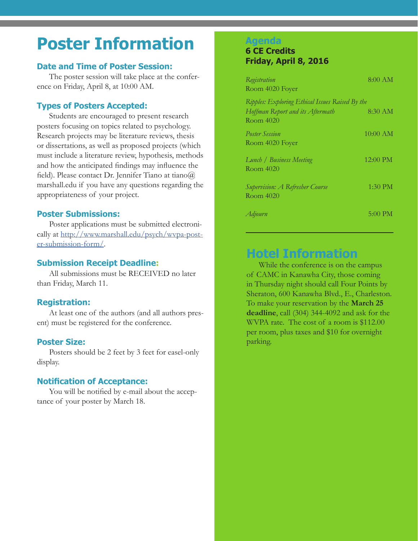# **Poster Information**

### **Date and Time of Poster Session:**

The poster session will take place at the conference on Friday, April 8, at 10:00 AM.

### **Types of Posters Accepted:**

Students are encouraged to present research posters focusing on topics related to psychology. Research projects may be literature reviews, thesis or dissertations, as well as proposed projects (which must include a literature review, hypothesis, methods and how the anticipated findings may influence the field). Please contact Dr. Jennifer Tiano at tiano@ marshall.edu if you have any questions regarding the appropriateness of your project.

### **Poster Submissions:**

Poster applications must be submitted electronically at [http://www.marshall.edu/psych/wvpa-post](http://www.marshall.edu/psych/wvpa-poster-submission-form/)[er-submission-form/](http://www.marshall.edu/psych/wvpa-poster-submission-form/).

### **Submission Receipt Deadline:**

All submissions must be RECEIVED no later than Friday, March 11.

### **Registration:**

At least one of the authors (and all authors present) must be registered for the conference.

### **Poster Size:**

Posters should be 2 feet by 3 feet for easel-only display.

### **Notification of Acceptance:**

You will be notified by e-mail about the acceptance of your poster by March 18.

### **Agenda**

### **6 CE Credits Friday, April 8, 2016**

| Registration<br>Room 4020 Foyer                                                                  | 8:00 AM    |
|--------------------------------------------------------------------------------------------------|------------|
| Ripples: Exploring Ethical Issues Raised By the<br>Hoffman Report and its Aftermath<br>Room 4020 | $8:30$ AM  |
| <i>Poster Session</i><br>Room 4020 Foyer                                                         | $10:00$ AM |
| Lunch / Business Meeting<br>Room 4020                                                            | 12:00 PM   |
| Supervision: A Refresher Course<br>Room 4020                                                     | $1:30$ PM  |
| Adjourn                                                                                          | 5:00 PM    |

# **Hotel Information**

While the conference is on the campus of CAMC in Kanawha City, those coming in Thursday night should call Four Points by Sheraton, 600 Kanawha Blvd., E., Charleston. To make your reservation by the **March 25 deadline**, call (304) 344-4092 and ask for the WVPA rate. The cost of a room is \$112.00 per room, plus taxes and \$10 for overnight parking.